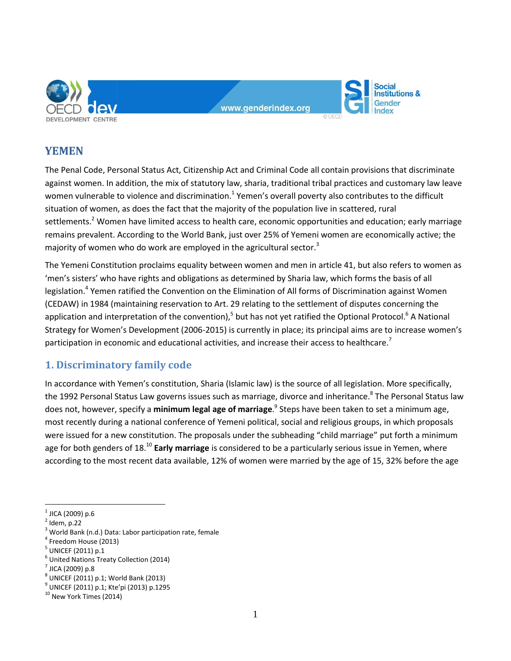

www.genderindex.org

**Social Institutions &** Gender

**YEMEN**

The Penal Code, Personal Status Act, Citizenship Act and Criminal Code all contain provisions that discriminate against women. In addition, the mix of statutory law, sharia, traditional tribal practices and customary law leave women vulnerable to violence and discrimination.<sup>1</sup> Yemen's overall poverty also contributes to the difficult situation of women, as does the fact that the majority of the population live in scattered, rural settlements.<sup>2</sup> Women have limited access to health care, economic opportunities and education; early marriage remains prevalent. According to the World Bank, just over 25% of Yemeni women are economically active; the majority of women who do work are employed in the agricultural sector.<sup>3</sup>

The Yemeni Constitution proclaims equality between women and men in article 41, but also refers to women as 'men's sisters' who have rights and obligations as determined by Sharia law, which forms the basis of all legislation.<sup>4</sup> Yemen ratified the Convention on the Elimination of All forms of Discrimination against Women (CEDAW) in 1984 (maintaining reservation to Art. 29 relating to the settlement of disputes concerning the application and interpretation of the convention),<sup>5</sup> but has not yet ratified the Optional Protocol.<sup>6</sup> A National Strategy for Women's Development (2006-2015) is currently in place; its principal aims are to increase women's participation in economic and educational activities, and increase their access to healthcare.<sup>7</sup>

# **1. Discriminatory family code**

In accordance with Yemen's constitution, Sharia (Islamic law) is the source of all legislation. More specifically, the 1992 Personal Status Law governs issues such as marriage, divorce and inheritance.<sup>8</sup> The Personal Status law does not, however, specify a **minimum legal age of marriage**. 9 Steps have been taken to set a minimum age, most recently during a national conference of Yemeni political, social and religious groups, in which proposals were issued for a new constitution. The proposals under the subheading "child marriage" put forth a minimum age for both genders of 18.<sup>10</sup> **Early marriage** is considered to be a particularly serious issue in Yemen, where according to the most recent data available, 12% of women were married by the age of 15, 32% before the age

 $\overline{a}$ 

 $^{\rm 1}$  JICA (2009) p.6

 $<sup>2</sup>$  Idem, p.22</sup>

<sup>&</sup>lt;sup>3</sup> World Bank (n.d.) Data: Labor participation rate, female

<sup>4</sup> Freedom House (2013)

 $^5$  UNICEF (2011) p.1

<sup>6</sup> United Nations Treaty Collection (2014)

 $^7$  JICA (2009) p.8

<sup>8</sup> UNICEF (2011) p.1; World Bank (2013)

<sup>9</sup> UNICEF (2011) p.1; Kte'pi (2013) p.1295

<sup>&</sup>lt;sup>10</sup> New York Times (2014)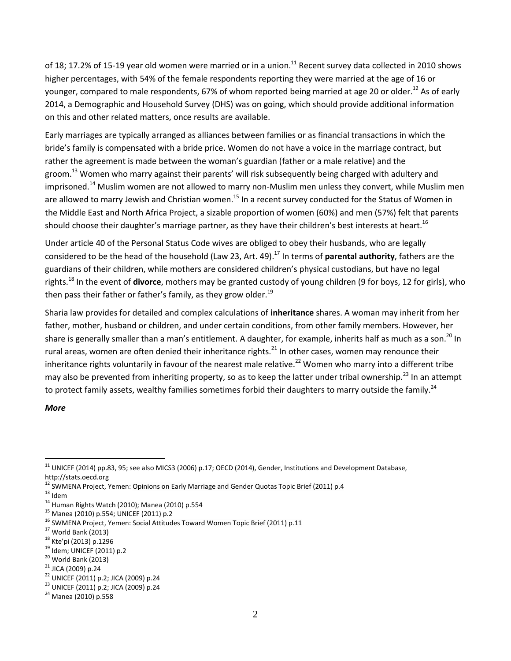of 18; 17.2% of 15-19 year old women were married or in a union.<sup>11</sup> Recent survey data collected in 2010 shows higher percentages, with 54% of the female respondents reporting they were married at the age of 16 or younger, compared to male respondents, 67% of whom reported being married at age 20 or older.<sup>12</sup> As of early 2014, a Demographic and Household Survey (DHS) was on going, which should provide additional information on this and other related matters, once results are available.

Early marriages are typically arranged as alliances between families or as financial transactions in which the bride's family is compensated with a bride price. Women do not have a voice in the marriage contract, but rather the agreement is made between the woman's guardian (father or a male relative) and the groom.<sup>13</sup> Women who marry against their parents' will risk subsequently being charged with adultery and imprisoned.<sup>14</sup> Muslim women are not allowed to marry non-Muslim men unless they convert, while Muslim men are allowed to marry Jewish and Christian women.<sup>15</sup> In a recent survey conducted for the Status of Women in the Middle East and North Africa Project, a sizable proportion of women (60%) and men (57%) felt that parents should choose their daughter's marriage partner, as they have their children's best interests at heart.<sup>16</sup>

Under article 40 of the Personal Status Code wives are obliged to obey their husbands, who are legally considered to be the head of the household (Law 23, Art. 49). <sup>17</sup> In terms of **parental authority**, fathers are the guardians of their children, while mothers are considered children's physical custodians, but have no legal rights.<sup>18</sup> In the event of **divorce**, mothers may be granted custody of young children (9 for boys, 12 for girls), who then pass their father or father's family, as they grow older.<sup>19</sup>

Sharia law provides for detailed and complex calculations of **inheritance** shares. A woman may inherit from her father, mother, husband or children, and under certain conditions, from other family members. However, her share is generally smaller than a man's entitlement. A daughter, for example, inherits half as much as a son.<sup>20</sup> In rural areas, women are often denied their inheritance rights. $^{21}$  In other cases, women may renounce their inheritance rights voluntarily in favour of the nearest male relative.<sup>22</sup> Women who marry into a different tribe may also be prevented from inheriting property, so as to keep the latter under tribal ownership.<sup>23</sup> In an attempt to protect family assets, wealthy families sometimes forbid their daughters to marry outside the family.<sup>24</sup>

### *More*

 $\overline{a}$  $^{11}$  UNICEF (2014) pp.83, 95; see also MICS3 (2006) p.17; OECD (2014), Gender, Institutions and Development Database, http://stats.oecd.org

<sup>&</sup>lt;sup>12</sup> SWMENA Project, Yemen: Opinions on Early Marriage and Gender Quotas Topic Brief (2011) p.4

 $^{13}$ Idem

 $14$  Human Rights Watch (2010); Manea (2010) p.554

<sup>15</sup> Manea (2010) p.554; UNICEF (2011) p.2

<sup>&</sup>lt;sup>16</sup> SWMENA Project, Yemen: Social Attitudes Toward Women Topic Brief (2011) p.11

 $17$  World Bank (2013)

<sup>18</sup> Kte'pi (2013) p.1296

<sup>19</sup> Idem; UNICEF (2011) p.2

 $20$  World Bank (2013)

<sup>21</sup> JICA (2009) p.24

<sup>22</sup> UNICEF (2011) p.2; JICA (2009) p.24

<sup>23</sup> UNICEF (2011) p.2; JICA (2009) p.24

<sup>24</sup> Manea (2010) p.558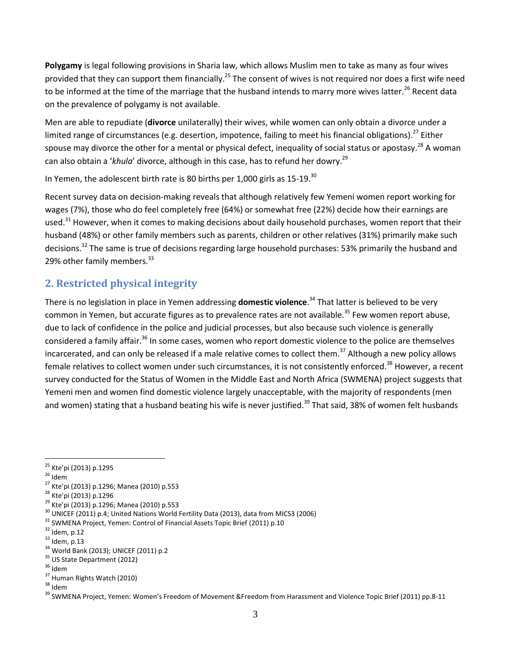**Polygamy** is legal following provisions in Sharia law, which allows Muslim men to take as many as four wives provided that they can support them financially.<sup>25</sup> The consent of wives is not required nor does a first wife need to be informed at the time of the marriage that the husband intends to marry more wives latter.<sup>26</sup> Recent data on the prevalence of polygamy is not available.

Men are able to repudiate (**divorce** unilaterally) their wives, while women can only obtain a divorce under a limited range of circumstances (e.g. desertion, impotence, failing to meet his financial obligations).<sup>27</sup> Either spouse may divorce the other for a mental or physical defect, inequality of social status or apostasy.<sup>28</sup> A woman can also obtain a '*khula*' divorce, although in this case, has to refund her dowry.<sup>29</sup>

In Yemen, the adolescent birth rate is 80 births per 1,000 girls as  $15{\text -}19$ .<sup>30</sup>

Recent survey data on decision-making reveals that although relatively few Yemeni women report working for wages (7%), those who do feel completely free (64%) or somewhat free (22%) decide how their earnings are used.<sup>31</sup> However, when it comes to making decisions about daily household purchases, women report that their husband (48%) or other family members such as parents, children or other relatives (31%) primarily make such decisions.<sup>32</sup> The same is true of decisions regarding large household purchases: 53% primarily the husband and 29% other family members.<sup>33</sup>

# **2. Restricted physical integrity**

There is no legislation in place in Yemen addressing **domestic violence**. <sup>34</sup> That latter is believed to be very common in Yemen, but accurate figures as to prevalence rates are not available.<sup>35</sup> Few women report abuse, due to lack of confidence in the police and judicial processes, but also because such violence is generally considered a family affair.<sup>36</sup> In some cases, women who report domestic violence to the police are themselves incarcerated, and can only be released if a male relative comes to collect them.<sup>37</sup> Although a new policy allows female relatives to collect women under such circumstances, it is not consistently enforced.<sup>38</sup> However, a recent survey conducted for the Status of Women in the Middle East and North Africa (SWMENA) project suggests that Yemeni men and women find domestic violence largely unacceptable, with the majority of respondents (men and women) stating that a husband beating his wife is never justified.<sup>39</sup> That said, 38% of women felt husbands

<sup>33</sup> Idem, p.13

 $\overline{a}$ <sup>25</sup> Kte'pi (2013) p.1295

 $26$  Idem

<sup>27</sup> Kte'pi (2013) p.1296; Manea (2010) p.553

<sup>28</sup> Kte'pi (2013) p.1296

<sup>29</sup> Kte'pi (2013) p.1296; Manea (2010) p.553

<sup>&</sup>lt;sup>30</sup> UNICEF (2011) p.4; United Nations World Fertility Data (2013), data from MICS3 (2006)

<sup>&</sup>lt;sup>31</sup> SWMENA Project, Yemen: Control of Financial Assets Topic Brief (2011) p.10

 $32$  Idem, p.12

<sup>34</sup> World Bank (2013); UNICEF (2011) p.2

<sup>&</sup>lt;sup>35</sup> US State Department (2012)

 $36$  Idem

<sup>37</sup> Human Rights Watch (2010)

<sup>38</sup> Idem

<sup>&</sup>lt;sup>39</sup> SWMENA Project, Yemen: Women's Freedom of Movement &Freedom from Harassment and Violence Topic Brief (2011) pp.8-11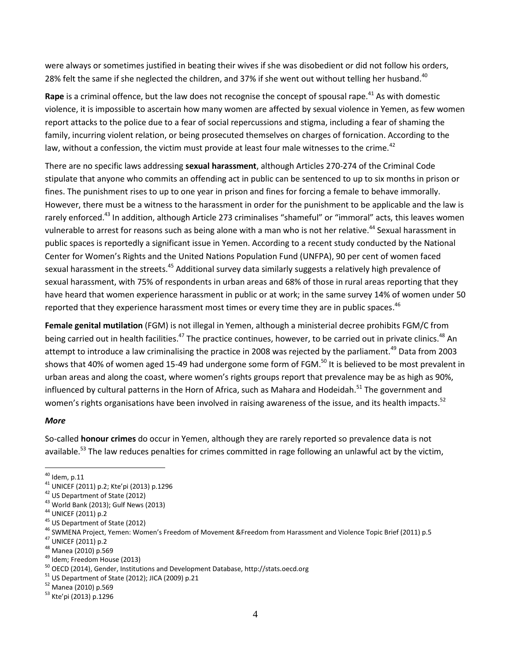were always or sometimes justified in beating their wives if she was disobedient or did not follow his orders, 28% felt the same if she neglected the children, and 37% if she went out without telling her husband.<sup>40</sup>

**Rape** is a criminal offence, but the law does not recognise the concept of spousal rape.<sup>41</sup> As with domestic violence, it is impossible to ascertain how many women are affected by sexual violence in Yemen, as few women report attacks to the police due to a fear of social repercussions and stigma, including a fear of shaming the family, incurring violent relation, or being prosecuted themselves on charges of fornication. According to the law, without a confession, the victim must provide at least four male witnesses to the crime.<sup>42</sup>

There are no specific laws addressing **sexual harassment**, although Articles 270-274 of the Criminal Code stipulate that anyone who commits an offending act in public can be sentenced to up to six months in prison or fines. The punishment rises to up to one year in prison and fines for forcing a female to behave immorally. However, there must be a witness to the harassment in order for the punishment to be applicable and the law is rarely enforced.<sup>43</sup> In addition, although Article 273 criminalises "shameful" or "immoral" acts, this leaves women vulnerable to arrest for reasons such as being alone with a man who is not her relative.<sup>44</sup> Sexual harassment in public spaces is reportedly a significant issue in Yemen. According to a recent study conducted by the National Center for Women's Rights and the United Nations Population Fund (UNFPA), 90 per cent of women faced sexual harassment in the streets.<sup>45</sup> Additional survey data similarly suggests a relatively high prevalence of sexual harassment, with 75% of respondents in urban areas and 68% of those in rural areas reporting that they have heard that women experience harassment in public or at work; in the same survey 14% of women under 50 reported that they experience harassment most times or every time they are in public spaces.<sup>46</sup>

**Female genital mutilation** (FGM) is not illegal in Yemen, although a ministerial decree prohibits FGM/C from being carried out in health facilities.<sup>47</sup> The practice continues, however, to be carried out in private clinics.<sup>48</sup> An attempt to introduce a law criminalising the practice in 2008 was rejected by the parliament.<sup>49</sup> Data from 2003 shows that 40% of women aged 15-49 had undergone some form of FGM.<sup>50</sup> It is believed to be most prevalent in urban areas and along the coast, where women's rights groups report that prevalence may be as high as 90%, influenced by cultural patterns in the Horn of Africa, such as Mahara and Hodeidah.<sup>51</sup> The government and women's rights organisations have been involved in raising awareness of the issue, and its health impacts.<sup>52</sup>

### *More*

 $\overline{a}$ 

So-called **honour crimes** do occur in Yemen, although they are rarely reported so prevalence data is not available.<sup>53</sup> The law reduces penalties for crimes committed in rage following an unlawful act by the victim,

 $43$  World Bank (2013); Gulf News (2013)

- <sup>45</sup> US Department of State (2012)
- <sup>46</sup> SWMENA Project, Yemen: Women's Freedom of Movement &Freedom from Harassment and Violence Topic Brief (2011) p.5
- <sup>47</sup> UNICEF (2011) p.2
- <sup>48</sup> Manea (2010) p.569
- <sup>49</sup> Idem; Freedom House (2013)
- <sup>50</sup> OECD (2014), Gender, Institutions and Development Database, http://stats.oecd.org
- <sup>51</sup> US Department of State (2012); JICA (2009) p.21
- <sup>52</sup> Manea (2010) p.569
- <sup>53</sup> Kte'pi (2013) p.1296

 $^{40}$  Idem, p.11

<sup>41</sup> UNICEF (2011) p.2; Kte'pi (2013) p.1296

<sup>42</sup> US Department of State (2012)

<sup>44</sup> UNICEF (2011) p.2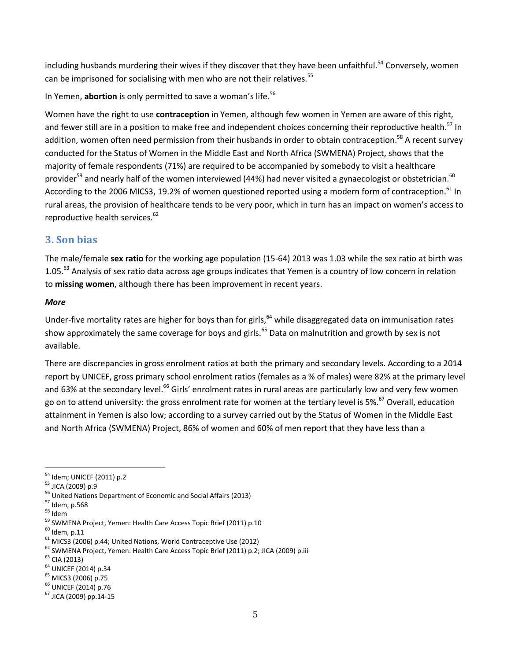including husbands murdering their wives if they discover that they have been unfaithful.<sup>54</sup> Conversely, women can be imprisoned for socialising with men who are not their relatives.<sup>55</sup>

In Yemen, **abortion** is only permitted to save a woman's life.<sup>56</sup>

Women have the right to use **contraception** in Yemen, although few women in Yemen are aware of this right, and fewer still are in a position to make free and independent choices concerning their reproductive health.<sup>57</sup> In addition, women often need permission from their husbands in order to obtain contraception.<sup>58</sup> A recent survey conducted for the Status of Women in the Middle East and North Africa (SWMENA) Project, shows that the majority of female respondents (71%) are required to be accompanied by somebody to visit a healthcare provider<sup>59</sup> and nearly half of the women interviewed (44%) had never visited a gynaecologist or obstetrician.<sup>60</sup> According to the 2006 MICS3, 19.2% of women questioned reported using a modern form of contraception.<sup>61</sup> In rural areas, the provision of healthcare tends to be very poor, which in turn has an impact on women's access to reproductive health services.<sup>62</sup>

## **3. Son bias**

The male/female **sex ratio** for the working age population (15-64) 2013 was 1.03 while the sex ratio at birth was 1.05.<sup>63</sup> Analysis of sex ratio data across age groups indicates that Yemen is a country of low concern in relation to **missing women**, although there has been improvement in recent years.

### *More*

Under-five mortality rates are higher for boys than for girls, <sup>64</sup> while disaggregated data on immunisation rates show approximately the same coverage for boys and girls.<sup>65</sup> Data on malnutrition and growth by sex is not available.

There are discrepancies in gross enrolment ratios at both the primary and secondary levels. According to a 2014 report by UNICEF, gross primary school enrolment ratios (females as a % of males) were 82% at the primary level and 63% at the secondary level.<sup>66</sup> Girls' enrolment rates in rural areas are particularly low and very few women go on to attend university: the gross enrolment rate for women at the tertiary level is 5%.<sup>67</sup> Overall, education attainment in Yemen is also low; according to a survey carried out by the Status of Women in the Middle East and North Africa (SWMENA) Project, 86% of women and 60% of men report that they have less than a

 $\overline{a}$ 

<sup>54</sup> Idem; UNICEF (2011) p.2

<sup>55</sup> JICA (2009) p.9

<sup>&</sup>lt;sup>56</sup> United Nations Department of Economic and Social Affairs (2013)

<sup>57</sup> Idem, p.568

<sup>58</sup> Idem

<sup>&</sup>lt;sup>59</sup> SWMENA Project, Yemen: Health Care Access Topic Brief (2011) p.10

 $60$  Idem, p.11

 $61$  MICS3 (2006) p.44; United Nations, World Contraceptive Use (2012)

<sup>&</sup>lt;sup>62</sup> SWMENA Project, Yemen: Health Care Access Topic Brief (2011) p.2; JICA (2009) p.iii

<sup>63</sup> CIA (2013)

<sup>64</sup> UNICEF (2014) p.34

<sup>65</sup> MICS3 (2006) p.75

<sup>66</sup> UNICEF (2014) p.76

<sup>67</sup> JICA (2009) pp.14-15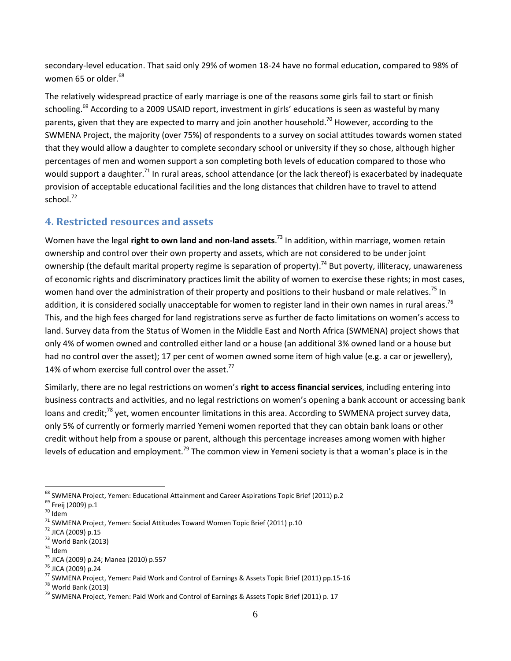secondary-level education. That said only 29% of women 18-24 have no formal education, compared to 98% of women 65 or older.<sup>68</sup>

The relatively widespread practice of early marriage is one of the reasons some girls fail to start or finish schooling.<sup>69</sup> According to a 2009 USAID report, investment in girls' educations is seen as wasteful by many parents, given that they are expected to marry and join another household.<sup>70</sup> However, according to the SWMENA Project, the majority (over 75%) of respondents to a survey on social attitudes towards women stated that they would allow a daughter to complete secondary school or university if they so chose, although higher percentages of men and women support a son completing both levels of education compared to those who would support a daughter.<sup>71</sup> In rural areas, school attendance (or the lack thereof) is exacerbated by inadequate provision of acceptable educational facilities and the long distances that children have to travel to attend school.<sup>72</sup>

## **4. Restricted resources and assets**

Women have the legal **right to own land and non-land assets**. <sup>73</sup> In addition, within marriage, women retain ownership and control over their own property and assets, which are not considered to be under joint ownership (the default marital property regime is separation of property).<sup>74</sup> But poverty, illiteracy, unawareness of economic rights and discriminatory practices limit the ability of women to exercise these rights; in most cases, women hand over the administration of their property and positions to their husband or male relatives.<sup>75</sup> In addition, it is considered socially unacceptable for women to register land in their own names in rural areas.<sup>76</sup> This, and the high fees charged for land registrations serve as further de facto limitations on women's access to land. Survey data from the Status of Women in the Middle East and North Africa (SWMENA) project shows that only 4% of women owned and controlled either land or a house (an additional 3% owned land or a house but had no control over the asset); 17 per cent of women owned some item of high value (e.g. a car or jewellery), 14% of whom exercise full control over the asset. $^{77}$ 

Similarly, there are no legal restrictions on women's **right to access financial services**, including entering into business contracts and activities, and no legal restrictions on women's opening a bank account or accessing bank loans and credit;<sup>78</sup> yet, women encounter limitations in this area. According to SWMENA project survey data, only 5% of currently or formerly married Yemeni women reported that they can obtain bank loans or other credit without help from a spouse or parent, although this percentage increases among women with higher levels of education and employment.<sup>79</sup> The common view in Yemeni society is that a woman's place is in the

 $\overline{a}$ <sup>68</sup> SWMENA Project, Yemen: Educational Attainment and Career Aspirations Topic Brief (2011) p.2

<sup>69</sup> Freij (2009) p.1

 $70$  Idem

<sup>71</sup> SWMENA Project, Yemen: Social Attitudes Toward Women Topic Brief (2011) p.10

<sup>72</sup> JICA (2009) p.15

<sup>73</sup> World Bank (2013)

<sup>74</sup> Idem

<sup>75</sup> JICA (2009) p.24; Manea (2010) p.557

<sup>76</sup> JICA (2009) p.24

<sup>77</sup> SWMENA Project, Yemen: Paid Work and Control of Earnings & Assets Topic Brief (2011) pp.15-16

 $<sup>78</sup>$  World Bank (2013)</sup>

<sup>&</sup>lt;sup>79</sup> SWMENA Project, Yemen: Paid Work and Control of Earnings & Assets Topic Brief (2011) p. 17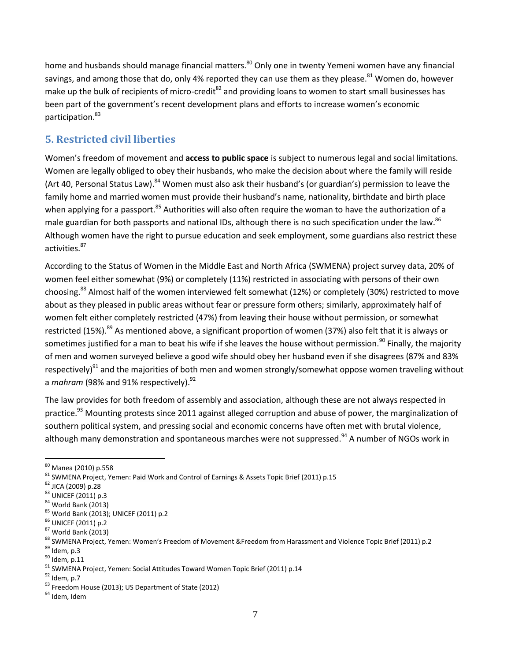home and husbands should manage financial matters.<sup>80</sup> Only one in twenty Yemeni women have any financial savings, and among those that do, only 4% reported they can use them as they please.<sup>81</sup> Women do, however make up the bulk of recipients of micro-credit<sup>82</sup> and providing loans to women to start small businesses has been part of the government's recent development plans and efforts to increase women's economic participation.<sup>83</sup>

# **5. Restricted civil liberties**

Women's freedom of movement and **access to public space** is subject to numerous legal and social limitations. Women are legally obliged to obey their husbands, who make the decision about where the family will reside (Art 40, Personal Status Law).<sup>84</sup> Women must also ask their husband's (or guardian's) permission to leave the family home and married women must provide their husband's name, nationality, birthdate and birth place when applying for a passport.<sup>85</sup> Authorities will also often require the woman to have the authorization of a male guardian for both passports and national IDs, although there is no such specification under the law.<sup>86</sup> Although women have the right to pursue education and seek employment, some guardians also restrict these activities.<sup>87</sup>

According to the Status of Women in the Middle East and North Africa (SWMENA) project survey data, 20% of women feel either somewhat (9%) or completely (11%) restricted in associating with persons of their own choosing.<sup>88</sup> Almost half of the women interviewed felt somewhat (12%) or completely (30%) restricted to move about as they pleased in public areas without fear or pressure form others; similarly, approximately half of women felt either completely restricted (47%) from leaving their house without permission, or somewhat restricted (15%).<sup>89</sup> As mentioned above, a significant proportion of women (37%) also felt that it is always or sometimes justified for a man to beat his wife if she leaves the house without permission.<sup>90</sup> Finally, the majority of men and women surveyed believe a good wife should obey her husband even if she disagrees (87% and 83% respectively)<sup>91</sup> and the majorities of both men and women strongly/somewhat oppose women traveling without a *mahram* (98% and 91% respectively).<sup>92</sup>

The law provides for both freedom of assembly and association, although these are not always respected in practice.<sup>93</sup> Mounting protests since 2011 against alleged corruption and abuse of power, the marginalization of southern political system, and pressing social and economic concerns have often met with brutal violence, although many demonstration and spontaneous marches were not suppressed.<sup>94</sup> A number of NGOs work in

 $\overline{a}$ 

<sup>80</sup> Manea (2010) p.558

<sup>81</sup> SWMENA Project, Yemen: Paid Work and Control of Earnings & Assets Topic Brief (2011) p.15

<sup>82</sup> JICA (2009) p.28

<sup>83</sup> UNICEF (2011) p.3

 $84$  World Bank (2013)

<sup>85</sup> World Bank (2013); UNICEF (2011) p.2

<sup>86</sup> UNICEF (2011) p.2

<sup>87</sup> World Bank (2013)

<sup>88</sup> SWMENA Project, Yemen: Women's Freedom of Movement &Freedom from Harassment and Violence Topic Brief (2011) p.2

 $89$  Idem, p.3

 $90$  Idem, p.11

<sup>&</sup>lt;sup>91</sup> SWMENA Project, Yemen: Social Attitudes Toward Women Topic Brief (2011) p.14

<sup>92</sup> Idem, p.7

<sup>93</sup> Freedom House (2013); US Department of State (2012)

<sup>&</sup>lt;sup>94</sup> Idem, Idem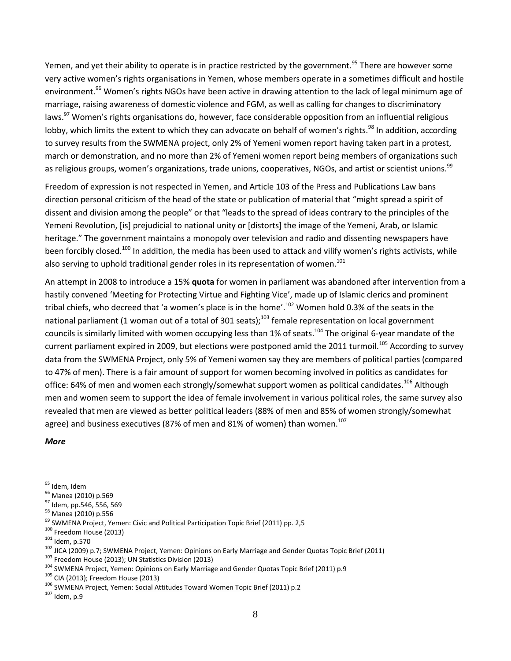Yemen, and yet their ability to operate is in practice restricted by the government.<sup>95</sup> There are however some very active women's rights organisations in Yemen, whose members operate in a sometimes difficult and hostile environment.<sup>96</sup> Women's rights NGOs have been active in drawing attention to the lack of legal minimum age of marriage, raising awareness of domestic violence and FGM, as well as calling for changes to discriminatory laws.<sup>97</sup> Women's rights organisations do, however, face considerable opposition from an influential religious lobby, which limits the extent to which they can advocate on behalf of women's rights.<sup>98</sup> In addition, according to survey results from the SWMENA project, only 2% of Yemeni women report having taken part in a protest, march or demonstration, and no more than 2% of Yemeni women report being members of organizations such as religious groups, women's organizations, trade unions, cooperatives, NGOs, and artist or scientist unions.<sup>99</sup>

Freedom of expression is not respected in Yemen, and Article 103 of the Press and Publications Law bans direction personal criticism of the head of the state or publication of material that "might spread a spirit of dissent and division among the people" or that "leads to the spread of ideas contrary to the principles of the Yemeni Revolution, [is] prejudicial to national unity or [distorts] the image of the Yemeni, Arab, or Islamic heritage." The government maintains a monopoly over television and radio and dissenting newspapers have been forcibly closed.<sup>100</sup> In addition, the media has been used to attack and vilify women's rights activists, while also serving to uphold traditional gender roles in its representation of women.<sup>101</sup>

An attempt in 2008 to introduce a 15% **quota** for women in parliament was abandoned after intervention from a hastily convened 'Meeting for Protecting Virtue and Fighting Vice', made up of Islamic clerics and prominent tribal chiefs, who decreed that 'a women's place is in the home'.<sup>102</sup> Women hold 0.3% of the seats in the national parliament (1 woman out of a total of 301 seats);<sup>103</sup> female representation on local government councils is similarly limited with women occupying less than 1% of seats.<sup>104</sup> The original 6-year mandate of the current parliament expired in 2009, but elections were postponed amid the 2011 turmoil.<sup>105</sup> According to survey data from the SWMENA Project, only 5% of Yemeni women say they are members of political parties (compared to 47% of men). There is a fair amount of support for women becoming involved in politics as candidates for office: 64% of men and women each strongly/somewhat support women as political candidates.<sup>106</sup> Although men and women seem to support the idea of female involvement in various political roles, the same survey also revealed that men are viewed as better political leaders (88% of men and 85% of women strongly/somewhat agree) and business executives (87% of men and 81% of women) than women.<sup>107</sup>

### *More*

 $\overline{a}$ 

- 100 Freedom House (2013)
- <sup>101</sup> Idem, p.570

<sup>103</sup> Freedom House (2013); UN Statistics Division (2013)

<sup>95</sup> Idem, Idem

<sup>&</sup>lt;sup>96</sup> Manea (2010) p.569

<sup>&</sup>lt;sup>97</sup> Idem, pp.546, 556, 569

<sup>98</sup> Manea (2010) p.556

<sup>99</sup> SWMENA Project, Yemen: Civic and Political Participation Topic Brief (2011) pp. 2,5

<sup>102</sup> JICA (2009) p.7; SWMENA Project, Yemen: Opinions on Early Marriage and Gender Quotas Topic Brief (2011)

<sup>&</sup>lt;sup>104</sup> SWMENA Project, Yemen: Opinions on Early Marriage and Gender Quotas Topic Brief (2011) p.9

<sup>105</sup> CIA (2013); Freedom House (2013)

<sup>&</sup>lt;sup>106</sup> SWMENA Project, Yemen: Social Attitudes Toward Women Topic Brief (2011) p.2

 $107$  Idem, p.9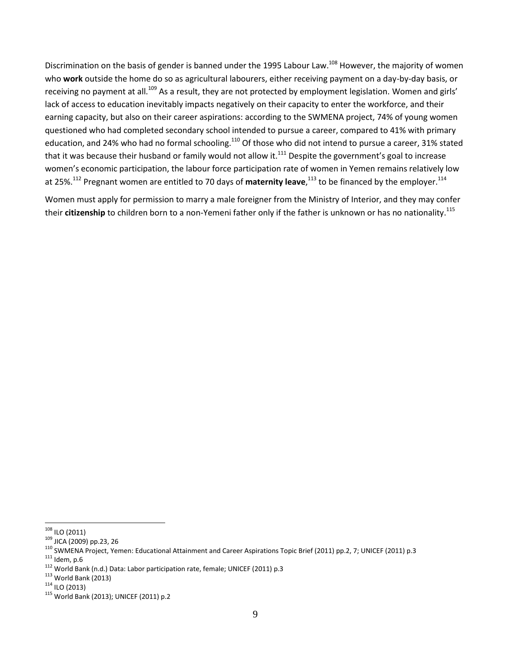Discrimination on the basis of gender is banned under the 1995 Labour Law.<sup>108</sup> However, the majority of women who **work** outside the home do so as agricultural labourers, either receiving payment on a day-by-day basis, or receiving no payment at all.<sup>109</sup> As a result, they are not protected by employment legislation. Women and girls' lack of access to education inevitably impacts negatively on their capacity to enter the workforce, and their earning capacity, but also on their career aspirations: according to the SWMENA project, 74% of young women questioned who had completed secondary school intended to pursue a career, compared to 41% with primary education, and 24% who had no formal schooling.<sup>110</sup> Of those who did not intend to pursue a career, 31% stated that it was because their husband or family would not allow it.<sup>111</sup> Despite the government's goal to increase women's economic participation, the labour force participation rate of women in Yemen remains relatively low at 25%.<sup>112</sup> Pregnant women are entitled to 70 days of **maternity leave**,<sup>113</sup> to be financed by the employer.<sup>114</sup>

Women must apply for permission to marry a male foreigner from the Ministry of Interior, and they may confer their **citizenship** to children born to a non-Yemeni father only if the father is unknown or has no nationality.<sup>115</sup>

 $\overline{a}$  $108$  ILO (2011)

 $109$  JICA (2009) pp.23, 26

<sup>110</sup> SWMENA Project, Yemen: Educational Attainment and Career Aspirations Topic Brief (2011) pp.2, 7; UNICEF (2011) p.3

 $111$  Idem, p.6

<sup>112</sup> World Bank (n.d.) Data: Labor participation rate, female; UNICEF (2011) p.3

<sup>113</sup> World Bank (2013)

 $114$  ILO (2013)

<sup>115</sup> World Bank (2013); UNICEF (2011) p.2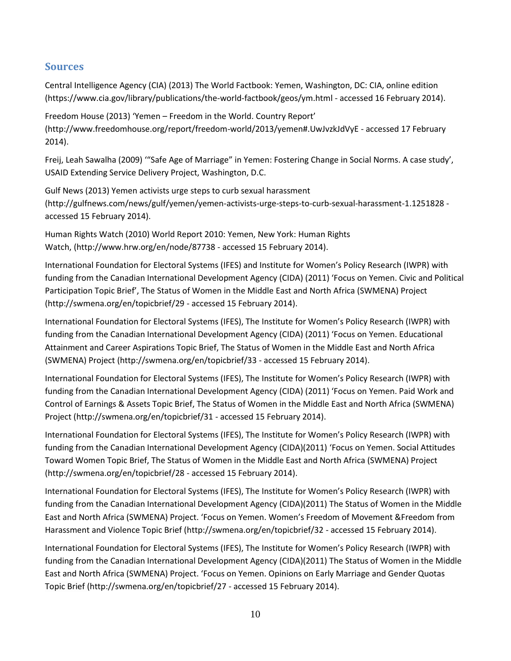## **Sources**

Central Intelligence Agency (CIA) (2013) The World Factbook: Yemen, Washington, DC: CIA, online edition [\(https://www.cia.gov/library/publications/the-world-factbook/geos/ym.html](https://www.cia.gov/library/publications/the-world-factbook/geos/ym.html) - accessed 16 February 2014).

Freedom House (2013) 'Yemen – Freedom in the World. Country Report' [\(http://www.freedomhouse.org/report/freedom-world/2013/yemen#.UwJvzkJdVyE](http://www.freedomhouse.org/report/freedom-world/2013/yemen#.UwJvzkJdVyE) - accessed 17 February 2014).

Freij, Leah Sawalha (2009) '"Safe Age of Marriage" in Yemen: Fostering Change in Social Norms. A case study', USAID Extending Service Delivery Project, Washington, D.C.

Gulf News (2013) Yemen activists urge steps to curb sexual harassment [\(http://gulfnews.com/news/gulf/yemen/yemen-activists-urge-steps-to-curb-sexual-harassment-1.1251828](http://gulfnews.com/news/gulf/yemen/yemen-activists-urge-steps-to-curb-sexual-harassment-1.1251828) accessed 15 February 2014).

Human Rights Watch (2010) World Report 2010: Yemen, New York: Human Rights Watch, [\(http://www.hrw.org/en/node/87738](http://www.hrw.org/en/node/87738) - accessed 15 February 2014).

International Foundation for Electoral Systems (IFES) and Institute for Women's Policy Research (IWPR) with funding from the Canadian International Development Agency (CIDA) (2011) 'Focus on Yemen. Civic and Political Participation Topic Brief', The Status of Women in the Middle East and North Africa (SWMENA) Project (http://swmena.org/en/topicbrief/29 - accessed 15 February 2014).

International Foundation for Electoral Systems (IFES), The Institute for Women's Policy Research (IWPR) with funding from the Canadian International Development Agency (CIDA) (2011) 'Focus on Yemen. Educational Attainment and Career Aspirations Topic Brief, The Status of Women in the Middle East and North Africa (SWMENA) Project [\(http://swmena.org/en/topicbrief/33](http://swmena.org/en/topicbrief/33) - accessed 15 February 2014).

International Foundation for Electoral Systems (IFES), The Institute for Women's Policy Research (IWPR) with funding from the Canadian International Development Agency (CIDA) (2011) 'Focus on Yemen. Paid Work and Control of Earnings & Assets Topic Brief, The Status of Women in the Middle East and North Africa (SWMENA) Project [\(http://swmena.org/en/topicbrief/31](http://swmena.org/en/topicbrief/31) - accessed 15 February 2014).

International Foundation for Electoral Systems (IFES), The Institute for Women's Policy Research (IWPR) with funding from the Canadian International Development Agency (CIDA)(2011) 'Focus on Yemen. Social Attitudes Toward Women Topic Brief, The Status of Women in the Middle East and North Africa (SWMENA) Project [\(http://swmena.org/en/topicbrief/28](http://swmena.org/en/topicbrief/28) - accessed 15 February 2014).

International Foundation for Electoral Systems (IFES), The Institute for Women's Policy Research (IWPR) with funding from the Canadian International Development Agency (CIDA)(2011) The Status of Women in the Middle East and North Africa (SWMENA) Project. 'Focus on Yemen. Women's Freedom of Movement &Freedom from Harassment and Violence Topic Brief (http://swmena.org/en/topicbrief/32 - accessed 15 February 2014).

International Foundation for Electoral Systems (IFES), The Institute for Women's Policy Research (IWPR) with funding from the Canadian International Development Agency (CIDA)(2011) The Status of Women in the Middle East and North Africa (SWMENA) Project. 'Focus on Yemen. Opinions on Early Marriage and Gender Quotas Topic Brief [\(http://swmena.org/en/topicbrief/27](http://swmena.org/en/topicbrief/27) - accessed 15 February 2014).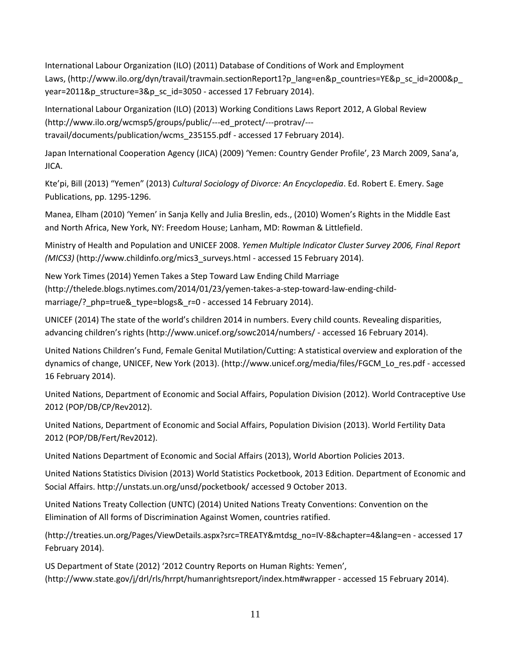International Labour Organization (ILO) (2011) Database of Conditions of Work and Employment Laws, [\(http://www.ilo.org/dyn/travail/travmain.sectionReport1?p\\_lang=en&p\\_countries=YE&p\\_sc\\_id=2000&p\\_](http://www.ilo.org/dyn/travail/travmain.sectionReport1?p_lang=en&p_countries=YE&p_sc_id=2000&p_year=2011&p_structure=3&p_sc_id=3050) [year=2011&p\\_structure=3&p\\_sc\\_id=3050](http://www.ilo.org/dyn/travail/travmain.sectionReport1?p_lang=en&p_countries=YE&p_sc_id=2000&p_year=2011&p_structure=3&p_sc_id=3050) - accessed 17 February 2014).

International Labour Organization (ILO) (2013) Working Conditions Laws Report 2012, A Global Review [\(http://www.ilo.org/wcmsp5/groups/public/---ed\\_protect/---protrav/--](http://www.ilo.org/wcmsp5/groups/public/---ed_protect/---protrav/---travail/documents/publication/wcms_235155.pdf) [travail/documents/publication/wcms\\_235155.pdf](http://www.ilo.org/wcmsp5/groups/public/---ed_protect/---protrav/---travail/documents/publication/wcms_235155.pdf) - accessed 17 February 2014).

Japan International Cooperation Agency (JICA) (2009) 'Yemen: Country Gender Profile', 23 March 2009, Sana'a, JICA.

Kte'pi, Bill (2013) "Yemen" (2013) *Cultural Sociology of Divorce: An Encyclopedia*. Ed. Robert E. Emery. Sage Publications, pp. 1295-1296.

Manea, Elham (2010) 'Yemen' in Sanja Kelly and Julia Breslin, eds., (2010) Women's Rights in the Middle East and North Africa, New York, NY: Freedom House; Lanham, MD: Rowman & Littlefield.

Ministry of Health and Population and UNICEF 2008. *Yemen Multiple Indicator Cluster Survey 2006, Final Report (MICS3)* [\(http://www.childinfo.org/mics3\\_surveys.html](http://www.childinfo.org/mics3_surveys.html) - accessed 15 February 2014).

New York Times (2014) Yemen Takes a Step Toward Law Ending Child Marriage [\(http://thelede.blogs.nytimes.com/2014/01/23/yemen-takes-a-step-toward-law-ending-child](http://thelede.blogs.nytimes.com/2014/01/23/yemen-takes-a-step-toward-law-ending-child-marriage/?_php=true&_type=blogs&_r=0)[marriage/?\\_php=true&\\_type=blogs&\\_r=0](http://thelede.blogs.nytimes.com/2014/01/23/yemen-takes-a-step-toward-law-ending-child-marriage/?_php=true&_type=blogs&_r=0) - accessed 14 February 2014).

UNICEF (2014) The state of the world's children 2014 in numbers. Every child counts. Revealing disparities, advancing children's rights (<http://www.unicef.org/sowc2014/numbers/> - accessed 16 February 2014).

United Nations Children's Fund, Female Genital Mutilation/Cutting: A statistical overview and exploration of the dynamics of change, UNICEF, New York (2013). [\(http://www.unicef.org/media/files/FGCM\\_Lo\\_res.pdf](http://www.unicef.org/media/files/FGCM_Lo_res.pdf) - accessed 16 February 2014).

United Nations, Department of Economic and Social Affairs, Population Division (2012). World Contraceptive Use 2012 (POP/DB/CP/Rev2012).

United Nations, Department of Economic and Social Affairs, Population Division (2013). World Fertility Data 2012 (POP/DB/Fert/Rev2012).

United Nations Department of Economic and Social Affairs (2013), World Abortion Policies 2013.

United Nations Statistics Division (2013) World Statistics Pocketbook, 2013 Edition. Department of Economic and Social Affairs[. http://unstats.un.org/unsd/pocketbook/](http://unstats.un.org/unsd/pocketbook/) accessed 9 October 2013.

United Nations Treaty Collection (UNTC) (2014) United Nations Treaty Conventions: Convention on the Elimination of All forms of Discrimination Against Women, countries ratified.

[\(http://treaties.un.org/Pages/ViewDetails.aspx?src=TREATY&mtdsg\\_no=IV-8&chapter=4&lang=en](http://treaties.un.org/Pages/ViewDetails.aspx?src=TREATY&mtdsg_no=IV-8&chapter=4&lang=en) - accessed 17 February 2014).

US Department of State (2012) '2012 Country Reports on Human Rights: Yemen', (http://www.state.gov/j/drl/rls/hrrpt/humanrightsreport/index.htm#wrapper - accessed 15 February 2014).